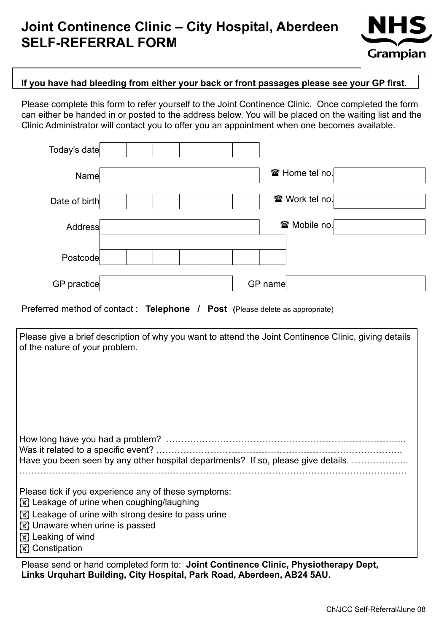# **Joint Continence Clinic – City Hospital, Aberdeen SELF-REFERRAL FORM**



#### **If you have had bleeding from either your back or front passages please see your GP first.**

Please complete this form to refer yourself to the Joint Continence Clinic. Once completed the form can either be handed in or posted to the address below. You will be placed on the waiting list and the Clinic Administrator will contact you to offer you an appointment when one becomes available.

| Today's date  |                       |
|---------------|-----------------------|
| Name          | <b>☎ Home tel no.</b> |
| Date of birth | <b>☎</b> Work tel no. |
| Address       | <b>雷 Mobile no.</b>   |
| Postcode      |                       |
| GP practice   | GP name               |

Preferred method of contact : **Telephone / Post (**Please delete as appropriate)

| Please give a brief description of why you want to attend the Joint Continence Clinic, giving details<br>of the nature of your problem.                                                                                                                       |  |  |
|---------------------------------------------------------------------------------------------------------------------------------------------------------------------------------------------------------------------------------------------------------------|--|--|
| Have you been seen by any other hospital departments? If so, please give details.                                                                                                                                                                             |  |  |
| Please tick if you experience any of these symptoms:<br>[\vara>] Leakage of urine when coughing/laughing<br>⊠ Leakage of urine with strong desire to pass urine<br><b>X</b> Unaware when urine is passed<br><b>■ Leaking of wind</b><br><b>■ Constipation</b> |  |  |
| Please send or hand completed form to: Joint Continence Clinic, Physiotherany Dent                                                                                                                                                                            |  |  |

Please send or hand completed form to: **Joint Continence Clinic, Physiotherapy Dept, Links Urquhart Building, City Hospital, Park Road, Aberdeen, AB24 5AU.**